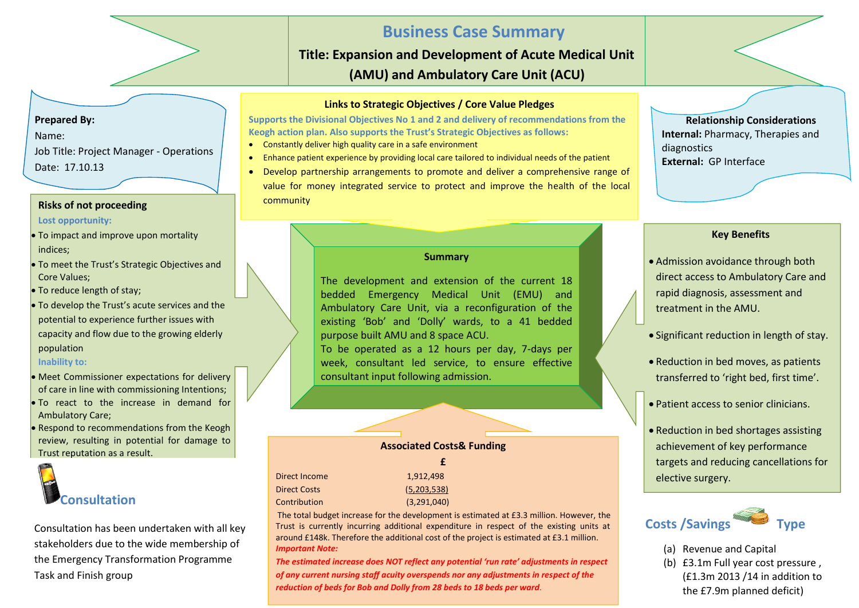# **Business Case Summary**

**Title: Expansion and Development of Acute Medical Unit (AMU) and Ambulatory Care Unit (ACU)**

#### **Links to Strategic Objectives / Core Value Pledges**

**Supports the Divisional Objectives No 1 and 2 and delivery of recommendations from the Keogh action plan. Also supports the Trust's Strategic Objectives as follows:**

- Constantly deliver high quality care in a safe environment
- Enhance patient experience by providing local care tailored to individual needs of the patient
- Develop partnership arrangements to promote and deliver a comprehensive range of value for money integrated service to protect and improve the health of the local community

**Relationship Considerations Internal:** Pharmacy, Therapies and diagnostics **External:** GP Interface

### **Key Benefits**

- Admission avoidance through both direct access to Ambulatory Care and rapid diagnosis, assessment and treatment in the AMU.
- Significant reduction in length of stay.
- Reduction in bed moves, as patients transferred to 'right bed, first time'.
- Patient access to senior clinicians.
- Reduction in bed shortages assisting achievement of key performance targets and reducing cancellations for elective surgery.



- (a) Revenue and Capital
- (b) £3.1m Full year cost pressure , (£1.3m 2013 /14 in addition to the £7.9m planned deficit)

**Prepared By:** Name: Job Title: Project Manager - Operations Date: 17.10.13

#### **Risks of not proceeding**

#### **Lost opportunity:**

- To impact and improve upon mortality indices;
- To meet the Trust's Strategic Objectives and Core Values;
- To reduce length of stay:
- To develop the Trust's acute services and the potential to experience further issues with capacity and flow due to the growing elderly population

#### **Inability to:**

- Meet Commissioner expectations for delivery of care in line with commissioning Intentions;
- To react to the increase in demand for Ambulatory Care;
- Respond to recommendations from the Keogh review, resulting in potential for damage to Trust reputation as a result.



Consultation has been undertaken with all key stakeholders due to the wide membership of the Emergency Transformation Programme Task and Finish group

#### **Summary**

The development and extension of the current 18 bedded Emergency Medical Unit (EMU) and Ambulatory Care Unit, via a reconfiguration of the existing 'Bob' and 'Dolly' wards, to a 41 bedded purpose built AMU and 8 space ACU.

To be operated as a 12 hours per day, 7-days per week, consultant led service, to ensure effective consultant input following admission.

#### **Associated Costs& Funding**

|                     | Ŧ.          |
|---------------------|-------------|
| Direct Income       | 1.912.498   |
| <b>Direct Costs</b> | (5,203,538) |
| Contribution        | (3,291,040) |

j.

 $\overline{\phantom{0}}$ 

The total budget increase for the development is estimated at £3.3 million. However, the Trust is currently incurring additional expenditure in respect of the existing units at around £148k. Therefore the additional cost of the project is estimated at £3.1 million. *Important Note:* 

*The estimated increase does NOT reflect any potential 'run rate' adjustments in respect of any current nursing staff acuity overspends nor any adjustments in respect of the reduction of beds for Bob and Dolly from 28 beds to 18 beds per ward.*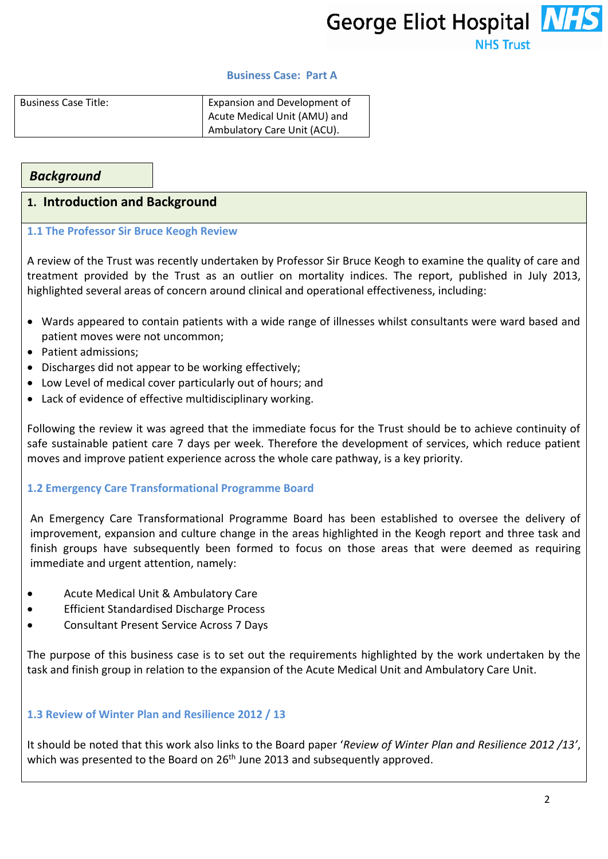George Eliot Hospital NHS **NHS Trust** 

#### **Business Case: Part A**

| <b>Business Case Title:</b> | <b>Expansion and Development of</b> |
|-----------------------------|-------------------------------------|
|                             | Acute Medical Unit (AMU) and        |
|                             | Ambulatory Care Unit (ACU).         |

## *Background*

### **1. Introduction and Background**

#### **1.1 The Professor Sir Bruce Keogh Review**

A review of the Trust was recently undertaken by Professor Sir Bruce Keogh to examine the quality of care and treatment provided by the Trust as an outlier on mortality indices. The report, published in July 2013, highlighted several areas of concern around clinical and operational effectiveness, including:

- Wards appeared to contain patients with a wide range of illnesses whilst consultants were ward based and patient moves were not uncommon;
- Patient admissions:
- Discharges did not appear to be working effectively;
- Low Level of medical cover particularly out of hours; and
- Lack of evidence of effective multidisciplinary working.

Following the review it was agreed that the immediate focus for the Trust should be to achieve continuity of safe sustainable patient care 7 days per week. Therefore the development of services, which reduce patient moves and improve patient experience across the whole care pathway, is a key priority.

### **1.2 Emergency Care Transformational Programme Board**

An Emergency Care Transformational Programme Board has been established to oversee the delivery of improvement, expansion and culture change in the areas highlighted in the Keogh report and three task and finish groups have subsequently been formed to focus on those areas that were deemed as requiring immediate and urgent attention, namely:

- Acute Medical Unit & Ambulatory Care
- Efficient Standardised Discharge Process
- Consultant Present Service Across 7 Days

The purpose of this business case is to set out the requirements highlighted by the work undertaken by the task and finish group in relation to the expansion of the Acute Medical Unit and Ambulatory Care Unit.

### **1.3 Review of Winter Plan and Resilience 2012 / 13**

It should be noted that this work also links to the Board paper '*Review of Winter Plan and Resilience 2012 /13'*, which was presented to the Board on 26<sup>th</sup> June 2013 and subsequently approved.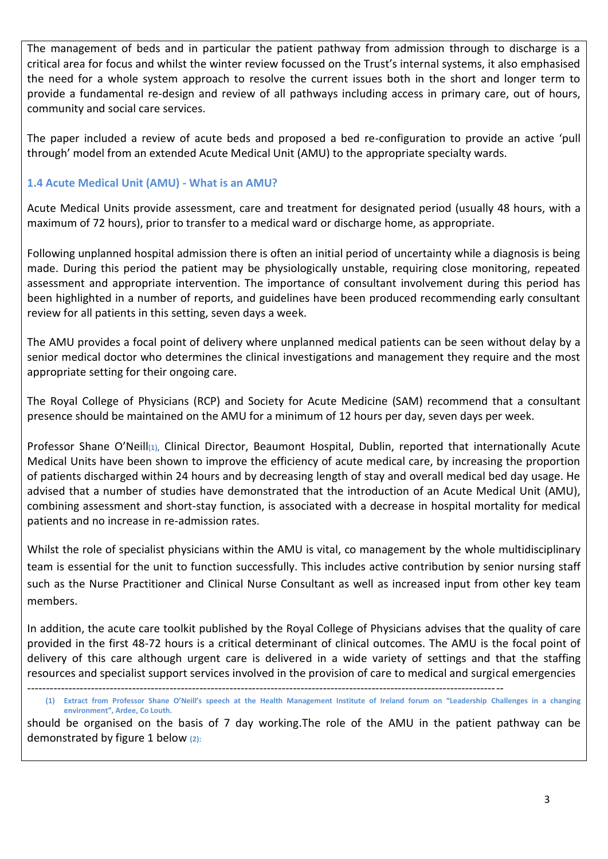The management of beds and in particular the patient pathway from admission through to discharge is a critical area for focus and whilst the winter review focussed on the Trust's internal systems, it also emphasised the need for a whole system approach to resolve the current issues both in the short and longer term to provide a fundamental re-design and review of all pathways including access in primary care, out of hours, community and social care services.

The paper included a review of acute beds and proposed a bed re-configuration to provide an active 'pull through' model from an extended Acute Medical Unit (AMU) to the appropriate specialty wards.

## **1.4 Acute Medical Unit (AMU) - What is an AMU?**

Acute Medical Units provide assessment, care and treatment for designated period (usually 48 hours, with a maximum of 72 hours), prior to transfer to a medical ward or discharge home, as appropriate.

Following unplanned hospital admission there is often an initial period of uncertainty while a diagnosis is being made. During this period the patient may be physiologically unstable, requiring close monitoring, repeated assessment and appropriate intervention. The importance of consultant involvement during this period has been highlighted in a number of reports, and guidelines have been produced recommending early consultant review for all patients in this setting, seven days a week.

The AMU provides a focal point of delivery where unplanned medical patients can be seen without delay by a senior medical doctor who determines the clinical investigations and management they require and the most appropriate setting for their ongoing care.

The Royal College of Physicians (RCP) and Society for Acute Medicine (SAM) recommend that a consultant presence should be maintained on the AMU for a minimum of 12 hours per day, seven days per week.

Professor Shane O'Neill**(1)**, Clinical Director, Beaumont Hospital, Dublin, reported that internationally Acute Medical Units have been shown to improve the efficiency of acute medical care, by increasing the proportion of patients discharged within 24 hours and by decreasing length of stay and overall medical bed day usage. He advised that a number of studies have demonstrated that the introduction of an Acute Medical Unit (AMU), combining assessment and short-stay function, is associated with a decrease in hospital mortality for medical patients and no increase in re-admission rates.

Whilst the role of specialist physicians within the AMU is vital, co management by the whole multidisciplinary team is essential for the unit to function successfully. This includes active contribution by senior nursing staff such as the Nurse Practitioner and Clinical Nurse Consultant as well as increased input from other key team members.

In addition, the acute care toolkit published by the Royal College of Physicians advises that the quality of care provided in the first 48-72 hours is a critical determinant of clinical outcomes. The AMU is the focal point of delivery of this care although urgent care is delivered in a wide variety of settings and that the staffing resources and specialist support services involved in the provision of care to medical and surgical emergencies

should be organised on the basis of 7 day working.The role of the AMU in the patient pathway can be demonstrated by figure 1 below **(2):**

*<sup>-------------------------------------------------------------------------------------------------------------------------------</sup>*

**<sup>(1)</sup> Extract from Professor Shane O'Neill's speech at the Health Management Institute of Ireland forum on "Leadership Challenges in a changing environment", Ardee, Co Louth.**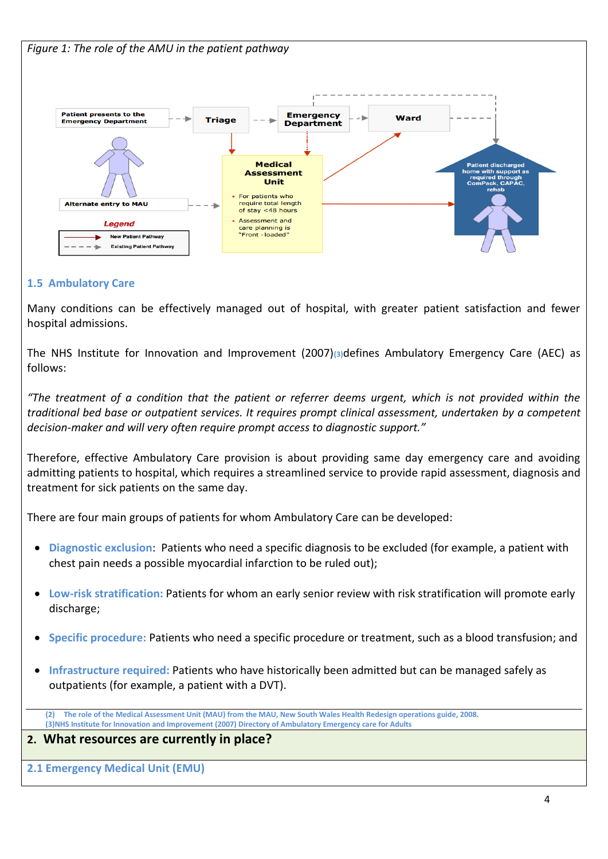

## **1.5 Ambulatory Care**

Many conditions can be effectively managed out of hospital, with greater patient satisfaction and fewer hospital admissions.

The NHS Institute for Innovation and Improvement (2007)**(3)**defines Ambulatory Emergency Care (AEC) as follows:

*"The treatment of a condition that the patient or referrer deems urgent, which is not provided within the traditional bed base or outpatient services. It requires prompt clinical assessment, undertaken by a competent decision-maker and will very often require prompt access to diagnostic support."*

Therefore, effective Ambulatory Care provision is about providing same day emergency care and avoiding admitting patients to hospital, which requires a streamlined service to provide rapid assessment, diagnosis and treatment for sick patients on the same day.

There are four main groups of patients for whom Ambulatory Care can be developed:

- **Diagnostic exclusion**: Patients who need a specific diagnosis to be excluded (for example, a patient with chest pain needs a possible myocardial infarction to be ruled out);
- **Low-risk stratification:** Patients for whom an early senior review with risk stratification will promote early discharge;
- **Specific procedure:** Patients who need a specific procedure or treatment, such as a blood transfusion; and
- **Infrastructure required:** Patients who have historically been admitted but can be managed safely as outpatients (for example, a patient with a DVT).

**(2) The role of the Medical Assessment Unit (MAU) from the MAU, New South Wales Health Redesign operations guide, 2008. (3)NHS Institute for Innovation and Improvement (2007) Directory of Ambulatory Emergency care for Adults**

## **2. What resources are currently in place?**

**2.1 Emergency Medical Unit (EMU)**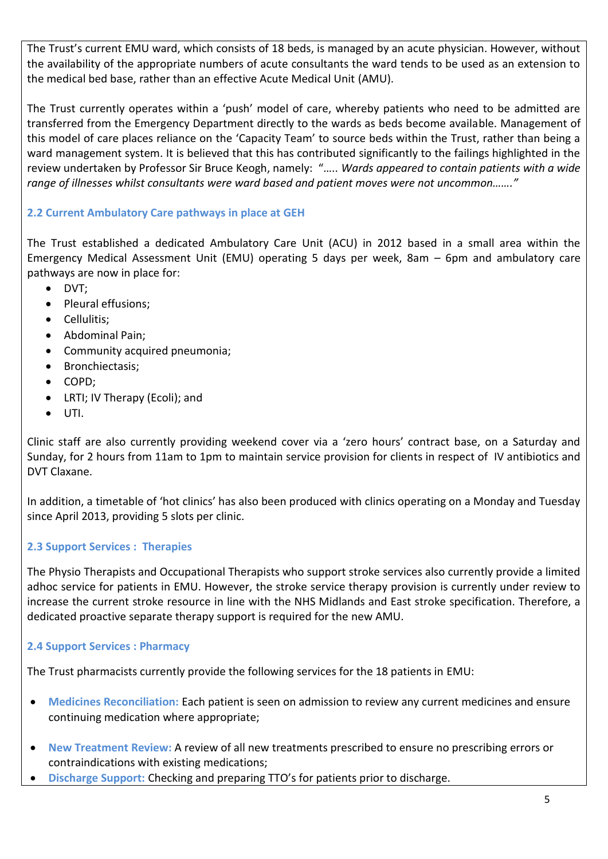The Trust's current EMU ward, which consists of 18 beds, is managed by an acute physician. However, without the availability of the appropriate numbers of acute consultants the ward tends to be used as an extension to the medical bed base, rather than an effective Acute Medical Unit (AMU).

The Trust currently operates within a 'push' model of care, whereby patients who need to be admitted are transferred from the Emergency Department directly to the wards as beds become available. Management of this model of care places reliance on the 'Capacity Team' to source beds within the Trust, rather than being a ward management system. It is believed that this has contributed significantly to the failings highlighted in the review undertaken by Professor Sir Bruce Keogh, namely: "….. *Wards appeared to contain patients with a wide range of illnesses whilst consultants were ward based and patient moves were not uncommon……."*

# **2.2 Current Ambulatory Care pathways in place at GEH**

The Trust established a dedicated Ambulatory Care Unit (ACU) in 2012 based in a small area within the Emergency Medical Assessment Unit (EMU) operating 5 days per week, 8am – 6pm and ambulatory care pathways are now in place for:

- DVT:
- Pleural effusions;
- Cellulitis;
- Abdominal Pain;
- Community acquired pneumonia;
- Bronchiectasis:
- COPD;
- LRTI; IV Therapy (Ecoli); and
- UTI.

Clinic staff are also currently providing weekend cover via a 'zero hours' contract base, on a Saturday and Sunday, for 2 hours from 11am to 1pm to maintain service provision for clients in respect of IV antibiotics and DVT Claxane.

In addition, a timetable of 'hot clinics' has also been produced with clinics operating on a Monday and Tuesday since April 2013, providing 5 slots per clinic.

## **2.3 Support Services : Therapies**

The Physio Therapists and Occupational Therapists who support stroke services also currently provide a limited adhoc service for patients in EMU. However, the stroke service therapy provision is currently under review to increase the current stroke resource in line with the NHS Midlands and East stroke specification. Therefore, a dedicated proactive separate therapy support is required for the new AMU.

## **2.4 Support Services : Pharmacy**

The Trust pharmacists currently provide the following services for the 18 patients in EMU:

- **Medicines Reconciliation:** Each patient is seen on admission to review any current medicines and ensure continuing medication where appropriate;
- **New Treatment Review:** A review of all new treatments prescribed to ensure no prescribing errors or contraindications with existing medications;
- **Discharge Support:** Checking and preparing TTO's for patients prior to discharge.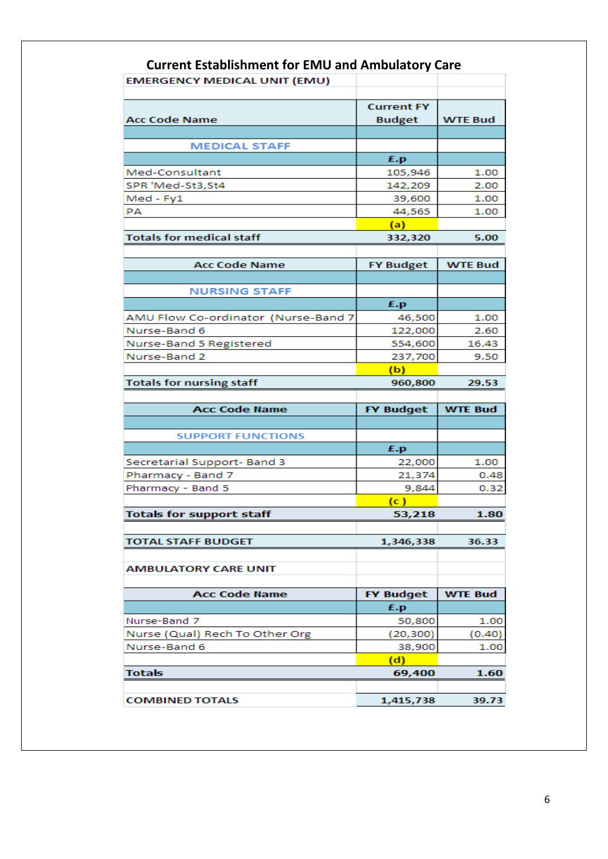|                                     | <b>Current Establishment for EMU and Ambulatory Care</b> |                        |
|-------------------------------------|----------------------------------------------------------|------------------------|
| <b>EMERGENCY MEDICAL UNIT (EMU)</b> |                                                          |                        |
|                                     |                                                          |                        |
|                                     | <b>Current FY</b>                                        |                        |
| Acc Code Name                       | <b>Budget</b>                                            | <b>WTE Bud</b>         |
|                                     |                                                          |                        |
| <b>MEDICAL STAFF</b>                |                                                          |                        |
|                                     | £.p                                                      |                        |
| Med-Consultant                      | 105,946                                                  | 1.00                   |
| SPR 'Med-St3,St4                    | 142,209                                                  | 2.00                   |
| Med - Fy1                           | 39,600                                                   | 1.00                   |
| PA                                  | 44,565                                                   | 1.00                   |
|                                     | (a)                                                      |                        |
| <b>Totals for medical staff</b>     | 332,320                                                  | 5.00                   |
|                                     |                                                          |                        |
| <b>Acc Code Name</b>                | <b>FY Budget</b>                                         | <b>WTE Bud</b>         |
|                                     |                                                          |                        |
| <b>NURSING STAFF</b>                |                                                          |                        |
|                                     | £.p                                                      |                        |
| AMU Flow Co-ordinator (Nurse-Band 7 | 46,500                                                   | 1.00                   |
| Nurse-Band 6                        | 122,000                                                  | 2.60                   |
| Nurse-Band 5 Registered             | 554,600                                                  | 16.43                  |
| Nurse-Band 2                        | 237,700                                                  | 9.50                   |
|                                     | (b)                                                      |                        |
| <b>Totals for nursing staff</b>     | 960,800                                                  | 29.53                  |
|                                     |                                                          |                        |
| <b>Acc Code Name</b>                | <b>FY Budget</b>                                         | <b>WTE Bud</b>         |
|                                     |                                                          |                        |
| <b>SUPPORT FUNCTIONS</b>            |                                                          |                        |
|                                     | £.p                                                      |                        |
|                                     |                                                          |                        |
| Secretarial Support- Band 3         | 22,000                                                   | 1.00                   |
| Pharmacy - Band 7                   | 21,374                                                   |                        |
| Pharmacy - Band 5                   | 9,844                                                    |                        |
|                                     | (c)                                                      | 0.48<br>0.32           |
| <b>Totals for support staff</b>     | 53,218                                                   | 1.80                   |
|                                     |                                                          |                        |
| <b>TOTAL STAFF BUDGET</b>           | 1,346,338                                                | 36.33                  |
|                                     |                                                          |                        |
| <b>AMBULATORY CARE UNIT</b>         |                                                          |                        |
|                                     |                                                          |                        |
| <b>Acc Code Name</b>                | <b>FY Budget</b>                                         | <b>WTE Bud</b>         |
|                                     | £.p                                                      |                        |
| Nurse-Band 7                        | 50,800                                                   |                        |
| Nurse (Qual) Rech To Other Org      | (20, 300)                                                |                        |
| Nurse-Band 6                        | 38,900                                                   |                        |
|                                     | (d)                                                      | 1.00<br>(0.40)<br>1.00 |
| <b>Totals</b>                       | 69,400                                                   | 1.60                   |
|                                     | 1,415,738                                                |                        |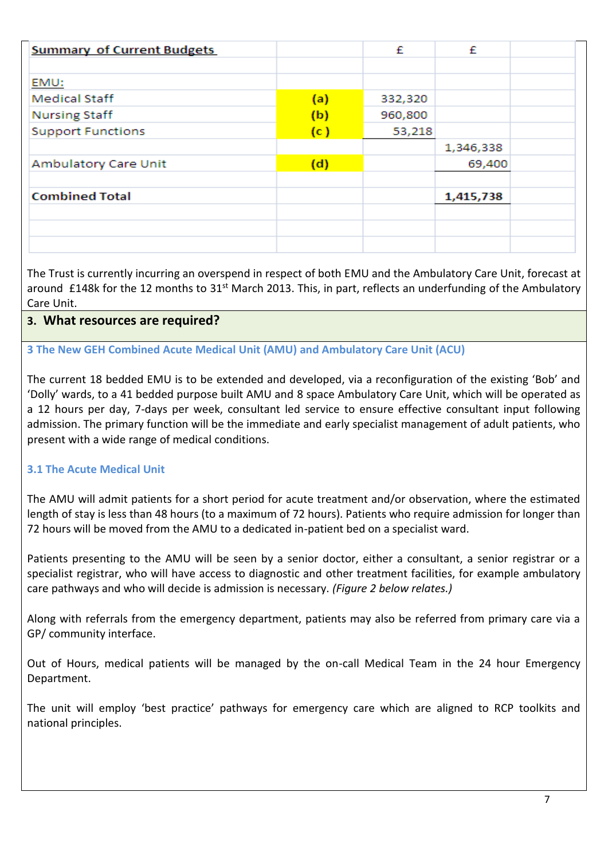| <b>Summary of Current Budgets</b> |     | £       | £         |  |
|-----------------------------------|-----|---------|-----------|--|
|                                   |     |         |           |  |
| EMU:                              |     |         |           |  |
| <b>Medical Staff</b>              | (a) | 332,320 |           |  |
| <b>Nursing Staff</b>              | (b) | 960,800 |           |  |
| <b>Support Functions</b>          | (c) | 53,218  |           |  |
|                                   |     |         | 1,346,338 |  |
| Ambulatory Care Unit              | (d) |         | 69,400    |  |
|                                   |     |         |           |  |
| <b>Combined Total</b>             |     |         | 1,415,738 |  |
|                                   |     |         |           |  |
|                                   |     |         |           |  |
|                                   |     |         |           |  |

The Trust is currently incurring an overspend in respect of both EMU and the Ambulatory Care Unit, forecast at around £148k for the 12 months to 31<sup>st</sup> March 2013. This, in part, reflects an underfunding of the Ambulatory Care Unit.

# **3. What resources are required?**

## **3 The New GEH Combined Acute Medical Unit (AMU) and Ambulatory Care Unit (ACU)**

The current 18 bedded EMU is to be extended and developed, via a reconfiguration of the existing 'Bob' and 'Dolly' wards, to a 41 bedded purpose built AMU and 8 space Ambulatory Care Unit, which will be operated as a 12 hours per day, 7-days per week, consultant led service to ensure effective consultant input following admission. The primary function will be the immediate and early specialist management of adult patients, who present with a wide range of medical conditions.

## **3.1 The Acute Medical Unit**

The AMU will admit patients for a short period for acute treatment and/or observation, where the estimated length of stay is less than 48 hours (to a maximum of 72 hours). Patients who require admission for longer than 72 hours will be moved from the AMU to a dedicated in-patient bed on a specialist ward.

Patients presenting to the AMU will be seen by a senior doctor, either a consultant, a senior registrar or a specialist registrar, who will have access to diagnostic and other treatment facilities, for example ambulatory care pathways and who will decide is admission is necessary. *(Figure 2 below relates.)*

Along with referrals from the emergency department, patients may also be referred from primary care via a GP/ community interface.

Out of Hours, medical patients will be managed by the on-call Medical Team in the 24 hour Emergency Department.

The unit will employ 'best practice' pathways for emergency care which are aligned to RCP toolkits and national principles.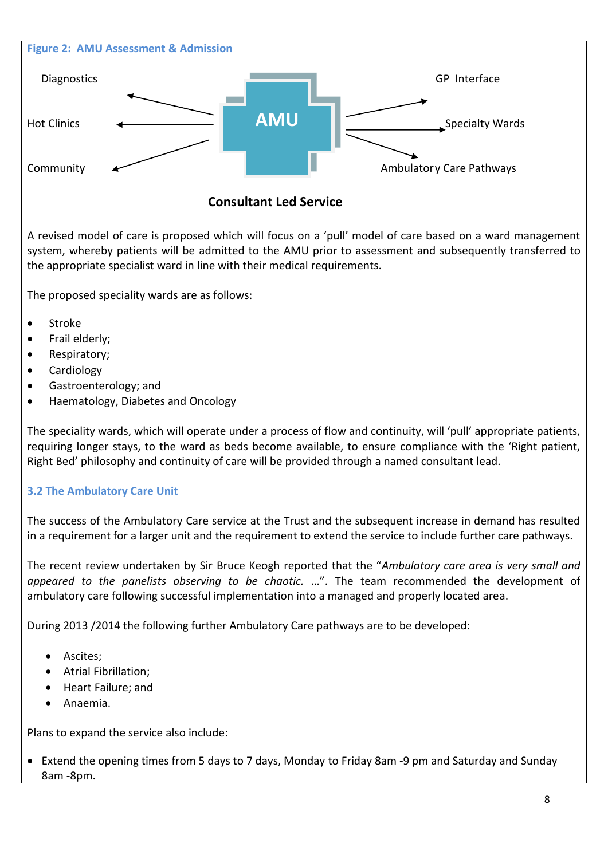

# **Consultant Led Service**

A revised model of care is proposed which will focus on a 'pull' model of care based on a ward management system, whereby patients will be admitted to the AMU prior to assessment and subsequently transferred to the appropriate specialist ward in line with their medical requirements.

The proposed speciality wards are as follows:

- Stroke
- Frail elderly;
- Respiratory;
- Cardiology
- Gastroenterology; and
- Haematology, Diabetes and Oncology

The speciality wards, which will operate under a process of flow and continuity, will 'pull' appropriate patients, requiring longer stays, to the ward as beds become available, to ensure compliance with the 'Right patient, Right Bed' philosophy and continuity of care will be provided through a named consultant lead.

# **3.2 The Ambulatory Care Unit**

The success of the Ambulatory Care service at the Trust and the subsequent increase in demand has resulted in a requirement for a larger unit and the requirement to extend the service to include further care pathways.

The recent review undertaken by Sir Bruce Keogh reported that the "*Ambulatory care area is very small and appeared to the panelists observing to be chaotic.* …". The team recommended the development of ambulatory care following successful implementation into a managed and properly located area.

During 2013 /2014 the following further Ambulatory Care pathways are to be developed:

- Ascites;
- Atrial Fibrillation;
- Heart Failure; and
- Anaemia.

Plans to expand the service also include:

 Extend the opening times from 5 days to 7 days, Monday to Friday 8am -9 pm and Saturday and Sunday 8am -8pm.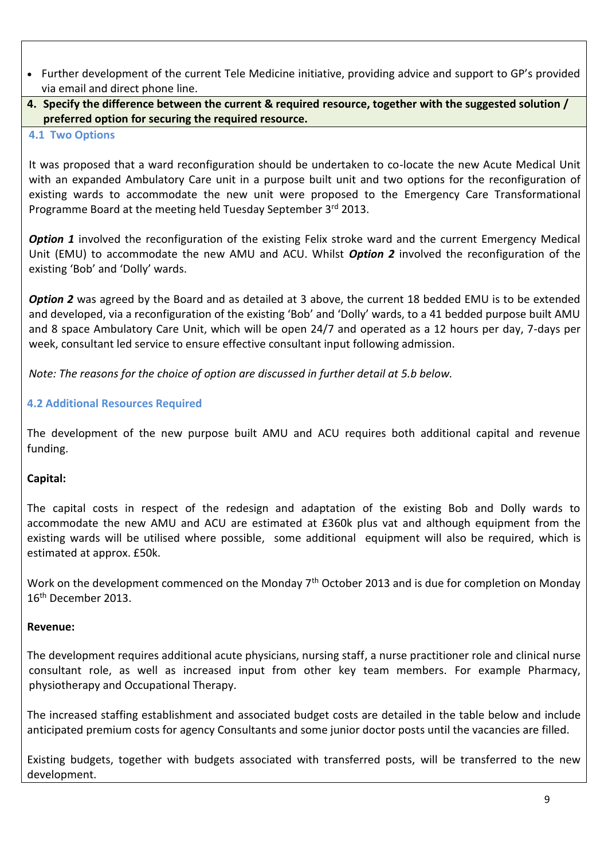- Further development of the current Tele Medicine initiative, providing advice and support to GP's provided via email and direct phone line.
- **4. Specify the difference between the current & required resource, together with the suggested solution / preferred option for securing the required resource.**
- **4.1 Two Options**

It was proposed that a ward reconfiguration should be undertaken to co-locate the new Acute Medical Unit with an expanded Ambulatory Care unit in a purpose built unit and two options for the reconfiguration of existing wards to accommodate the new unit were proposed to the Emergency Care Transformational Programme Board at the meeting held Tuesday September 3rd 2013.

**Option 1** involved the reconfiguration of the existing Felix stroke ward and the current Emergency Medical Unit (EMU) to accommodate the new AMU and ACU. Whilst *Option 2* involved the reconfiguration of the existing 'Bob' and 'Dolly' wards.

**Option 2** was agreed by the Board and as detailed at 3 above, the current 18 bedded EMU is to be extended and developed, via a reconfiguration of the existing 'Bob' and 'Dolly' wards, to a 41 bedded purpose built AMU and 8 space Ambulatory Care Unit, which will be open 24/7 and operated as a 12 hours per day, 7-days per week, consultant led service to ensure effective consultant input following admission.

*Note: The reasons for the choice of option are discussed in further detail at 5.b below.*

## **4.2 Additional Resources Required**

The development of the new purpose built AMU and ACU requires both additional capital and revenue funding.

# **Capital:**

The capital costs in respect of the redesign and adaptation of the existing Bob and Dolly wards to accommodate the new AMU and ACU are estimated at £360k plus vat and although equipment from the existing wards will be utilised where possible, some additional equipment will also be required, which is estimated at approx. £50k.

Work on the development commenced on the Monday 7<sup>th</sup> October 2013 and is due for completion on Monday 16th December 2013.

## **Revenue:**

The development requires additional acute physicians, nursing staff, a nurse practitioner role and clinical nurse consultant role, as well as increased input from other key team members. For example Pharmacy, physiotherapy and Occupational Therapy.

The increased staffing establishment and associated budget costs are detailed in the table below and include anticipated premium costs for agency Consultants and some junior doctor posts until the vacancies are filled.

Existing budgets, together with budgets associated with transferred posts, will be transferred to the new development.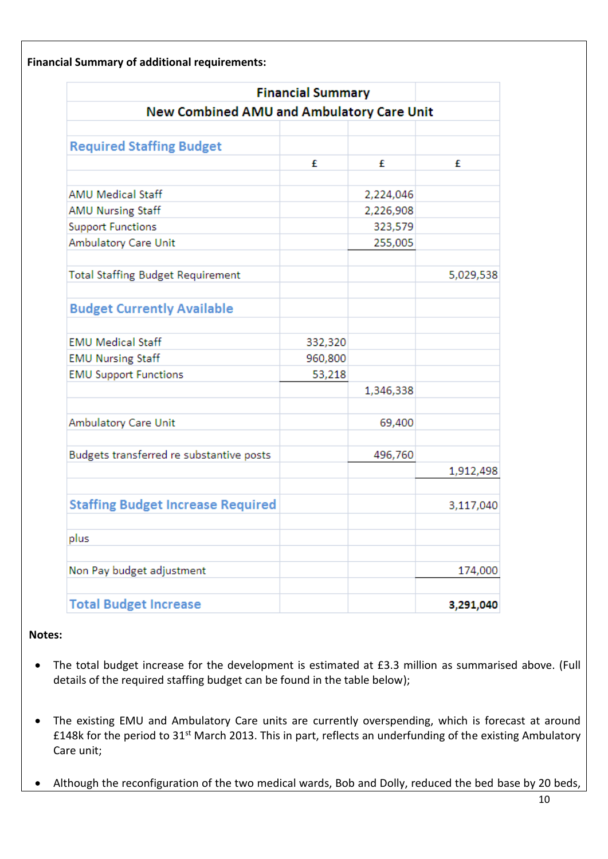**Financial Summary of additional requirements:**

|                                                  | <b>Financial Summary</b> |           |           |
|--------------------------------------------------|--------------------------|-----------|-----------|
| <b>New Combined AMU and Ambulatory Care Unit</b> |                          |           |           |
|                                                  |                          |           |           |
| <b>Required Staffing Budget</b>                  | £                        | £         | £         |
|                                                  |                          |           |           |
| <b>AMU Medical Staff</b>                         |                          | 2,224,046 |           |
| <b>AMU Nursing Staff</b>                         |                          | 2,226,908 |           |
| <b>Support Functions</b>                         |                          | 323,579   |           |
| Ambulatory Care Unit                             |                          | 255,005   |           |
| <b>Total Staffing Budget Requirement</b>         |                          |           | 5,029,538 |
| <b>Budget Currently Available</b>                |                          |           |           |
| <b>EMU Medical Staff</b>                         | 332,320                  |           |           |
| <b>EMU Nursing Staff</b>                         | 960,800                  |           |           |
| <b>EMU Support Functions</b>                     | 53,218                   |           |           |
|                                                  |                          | 1,346,338 |           |
| Ambulatory Care Unit                             |                          | 69,400    |           |
| Budgets transferred re substantive posts         |                          | 496,760   |           |
|                                                  |                          |           | 1,912,498 |
| <b>Staffing Budget Increase Required</b>         |                          |           | 3,117,040 |
| plus                                             |                          |           |           |
| Non Pay budget adjustment                        |                          |           | 174,000   |
| <b>Total Budget Increase</b>                     |                          |           | 3,291,040 |

### **Notes:**

- The total budget increase for the development is estimated at £3.3 million as summarised above. (Full details of the required staffing budget can be found in the table below);
- The existing EMU and Ambulatory Care units are currently overspending, which is forecast at around £148k for the period to 31st March 2013. This in part, reflects an underfunding of the existing Ambulatory Care unit;
- Although the reconfiguration of the two medical wards, Bob and Dolly, reduced the bed base by 20 beds,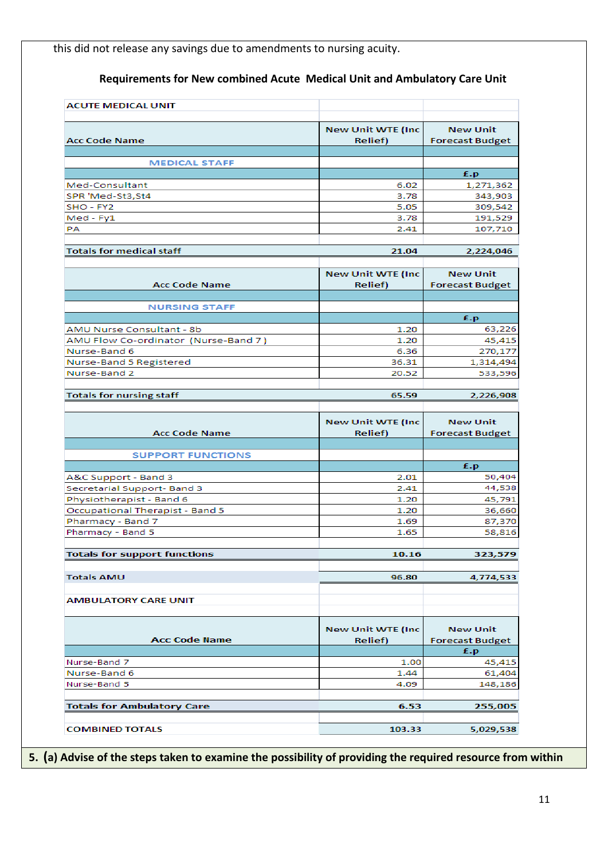this did not release any savings due to amendments to nursing acuity.

# **Requirements for New combined Acute Medical Unit and Ambulatory Care Unit**

| <b>Acc Code Name</b>                                                          | <b>New Unit WTE (Inc.</b><br><b>Relief</b> ) | <b>New Unit</b><br><b>Forecast Budget</b>       |
|-------------------------------------------------------------------------------|----------------------------------------------|-------------------------------------------------|
|                                                                               |                                              |                                                 |
| <b>MEDICAL STAFF</b>                                                          |                                              |                                                 |
|                                                                               |                                              | £.p                                             |
| Med-Consultant                                                                | 6.02                                         | 1,271,362                                       |
| SPR 'Med-St3,St4                                                              | 3.78                                         | 343,903                                         |
| SHO - FY2                                                                     | 5.05                                         | 309,542                                         |
| Med - Fy1                                                                     | 3.78                                         | 191,529                                         |
| PA                                                                            | 2.41                                         | 107,710                                         |
| <b>Totals for medical staff</b>                                               | 21.04                                        | 2,224,046                                       |
|                                                                               |                                              |                                                 |
| <b>Acc Code Name</b>                                                          | <b>New Unit WTE (Inc.</b><br><b>Relief</b> ) | <b>New Unit</b><br><b>Forecast Budget</b>       |
|                                                                               |                                              |                                                 |
| <b>NURSING STAFF</b>                                                          |                                              | £.p                                             |
| AMU Nurse Consultant - 8b                                                     | 1.20                                         | 63,226                                          |
|                                                                               | 1.20                                         | 45,415                                          |
| AMU Flow Co-ordinator (Nurse-Band 7)<br>Nurse-Band 6                          | 6.36                                         | 270,177                                         |
|                                                                               |                                              |                                                 |
| Nurse-Band 5 Registered                                                       | 36.31                                        | 1,314,494                                       |
| Nurse-Band 2                                                                  | 20.52                                        | 533,596                                         |
| <b>Totals for nursing staff</b>                                               | 65.59                                        | 2,226,908                                       |
|                                                                               |                                              |                                                 |
|                                                                               | <b>New Unit WTE (Inc.</b>                    | <b>New Unit</b>                                 |
| <b>Acc Code Name</b>                                                          | <b>Relief</b> )                              | <b>Forecast Budget</b>                          |
|                                                                               |                                              |                                                 |
| <b>SUPPORT FUNCTIONS</b>                                                      |                                              | £.p                                             |
| A&C Support - Band 3                                                          | 2.01                                         | 50,404                                          |
| Secretarial Support-Band 3                                                    |                                              |                                                 |
|                                                                               |                                              |                                                 |
|                                                                               | 2.41                                         | 44,538                                          |
| Physiotherapist - Band 6                                                      | 1.20                                         |                                                 |
| Occupational Therapist - Band 5                                               | 1.20                                         |                                                 |
|                                                                               | 1.69                                         |                                                 |
|                                                                               | 1.65                                         |                                                 |
| Pharmacy - Band 7<br>Pharmacy - Band 5<br><b>Totals for support functions</b> | 10.16                                        | 45,791<br>36,660<br>87,370<br>58,816<br>323,579 |
|                                                                               |                                              |                                                 |
| <b>Totals AMU</b>                                                             | 96.80                                        | 4,774,533                                       |
| <b>AMBULATORY CARE UNIT</b>                                                   |                                              |                                                 |
| <b>Acc Code Name</b>                                                          | <b>New Unit WTE (Inc.</b><br><b>Relief</b> ) | <b>New Unit</b><br><b>Forecast Budget</b>       |
|                                                                               |                                              | £.p                                             |
|                                                                               | 1.00                                         |                                                 |
|                                                                               | 1.44                                         | 45,415<br>61,404                                |
| Nurse-Band 7<br>Nurse-Band 6<br>Nurse-Band 5                                  | 4.09                                         |                                                 |
|                                                                               |                                              | 148,186                                         |
| <b>Totals for Ambulatory Care</b>                                             | 6.53                                         | 255,005                                         |

**5. (a) Advise of the steps taken to examine the possibility of providing the required resource from within**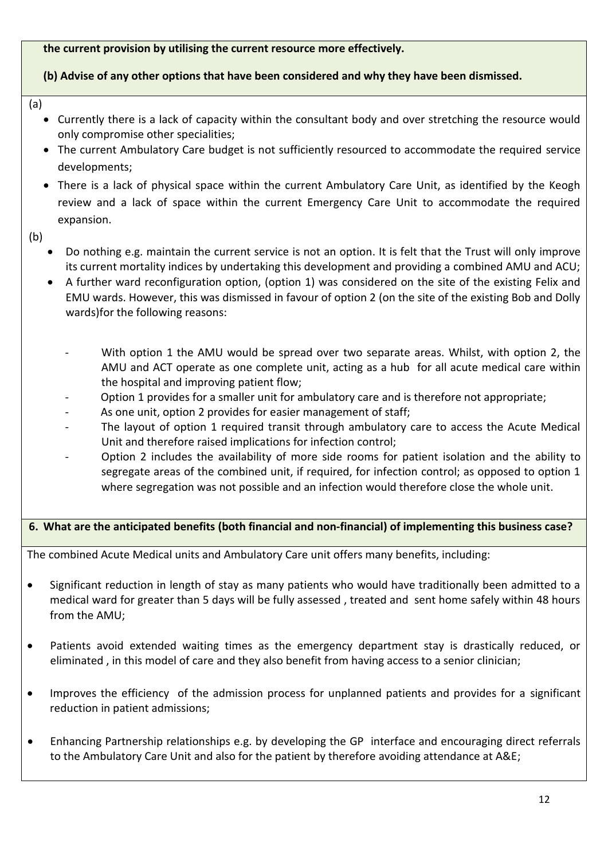**the current provision by utilising the current resource more effectively.**

### **(b) Advise of any other options that have been considered and why they have been dismissed.**

- (a)
	- Currently there is a lack of capacity within the consultant body and over stretching the resource would only compromise other specialities;
	- The current Ambulatory Care budget is not sufficiently resourced to accommodate the required service developments;
	- There is a lack of physical space within the current Ambulatory Care Unit, as identified by the Keogh review and a lack of space within the current Emergency Care Unit to accommodate the required expansion.
- (b)
	- Do nothing e.g. maintain the current service is not an option. It is felt that the Trust will only improve its current mortality indices by undertaking this development and providing a combined AMU and ACU;
	- A further ward reconfiguration option, (option 1) was considered on the site of the existing Felix and EMU wards. However, this was dismissed in favour of option 2 (on the site of the existing Bob and Dolly wards)for the following reasons:
		- With option 1 the AMU would be spread over two separate areas. Whilst, with option 2, the AMU and ACT operate as one complete unit, acting as a hub for all acute medical care within the hospital and improving patient flow;
		- Option 1 provides for a smaller unit for ambulatory care and is therefore not appropriate;
		- As one unit, option 2 provides for easier management of staff;
		- The layout of option 1 required transit through ambulatory care to access the Acute Medical Unit and therefore raised implications for infection control;
		- Option 2 includes the availability of more side rooms for patient isolation and the ability to segregate areas of the combined unit, if required, for infection control; as opposed to option 1 where segregation was not possible and an infection would therefore close the whole unit.

## **6. What are the anticipated benefits (both financial and non-financial) of implementing this business case?**

The combined Acute Medical units and Ambulatory Care unit offers many benefits, including:

- Significant reduction in length of stay as many patients who would have traditionally been admitted to a medical ward for greater than 5 days will be fully assessed , treated and sent home safely within 48 hours from the AMU;
- Patients avoid extended waiting times as the emergency department stay is drastically reduced, or eliminated , in this model of care and they also benefit from having access to a senior clinician;
- Improves the efficiency of the admission process for unplanned patients and provides for a significant reduction in patient admissions;
- Enhancing Partnership relationships e.g. by developing the GP interface and encouraging direct referrals to the Ambulatory Care Unit and also for the patient by therefore avoiding attendance at A&E;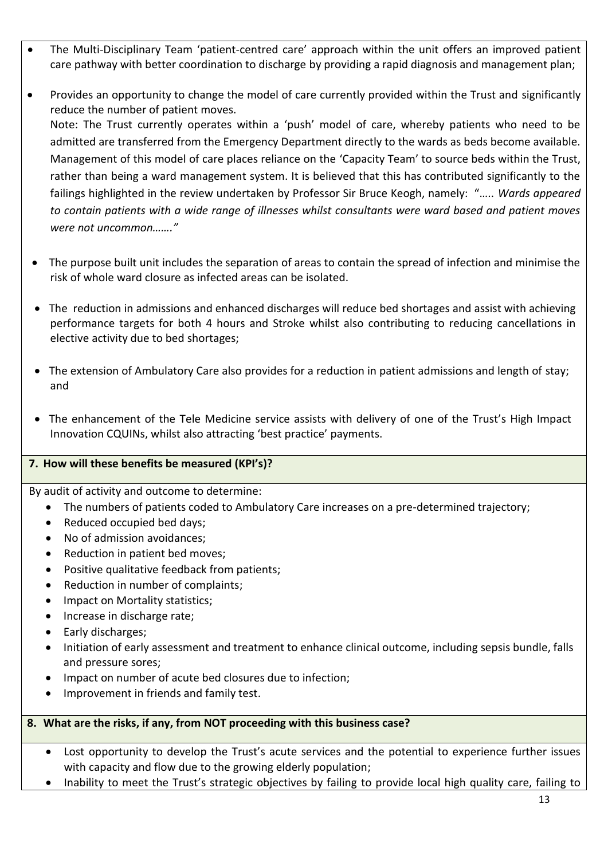- The Multi-Disciplinary Team 'patient-centred care' approach within the unit offers an improved patient care pathway with better coordination to discharge by providing a rapid diagnosis and management plan;
- Provides an opportunity to change the model of care currently provided within the Trust and significantly reduce the number of patient moves. Note: The Trust currently operates within a 'push' model of care, whereby patients who need to be admitted are transferred from the Emergency Department directly to the wards as beds become available. Management of this model of care places reliance on the 'Capacity Team' to source beds within the Trust, rather than being a ward management system. It is believed that this has contributed significantly to the failings highlighted in the review undertaken by Professor Sir Bruce Keogh, namely: "….. *Wards appeared to contain patients with a wide range of illnesses whilst consultants were ward based and patient moves were not uncommon……."*
- The purpose built unit includes the separation of areas to contain the spread of infection and minimise the risk of whole ward closure as infected areas can be isolated.
- The reduction in admissions and enhanced discharges will reduce bed shortages and assist with achieving performance targets for both 4 hours and Stroke whilst also contributing to reducing cancellations in elective activity due to bed shortages;
- The extension of Ambulatory Care also provides for a reduction in patient admissions and length of stay; and
- The enhancement of the Tele Medicine service assists with delivery of one of the Trust's High Impact Innovation CQUINs, whilst also attracting 'best practice' payments.

## **7. How will these benefits be measured (KPI's)?**

By audit of activity and outcome to determine:

- The numbers of patients coded to Ambulatory Care increases on a pre-determined trajectory;
- Reduced occupied bed days:
- No of admission avoidances;
- Reduction in patient bed moves;
- Positive qualitative feedback from patients;
- Reduction in number of complaints;
- Impact on Mortality statistics;
- Increase in discharge rate;
- Early discharges;
- Initiation of early assessment and treatment to enhance clinical outcome, including sepsis bundle, falls and pressure sores;
- Impact on number of acute bed closures due to infection;
- Improvement in friends and family test.

## **8. What are the risks, if any, from NOT proceeding with this business case?**

- Lost opportunity to develop the Trust's acute services and the potential to experience further issues with capacity and flow due to the growing elderly population;
- Inability to meet the Trust's strategic objectives by failing to provide local high quality care, failing to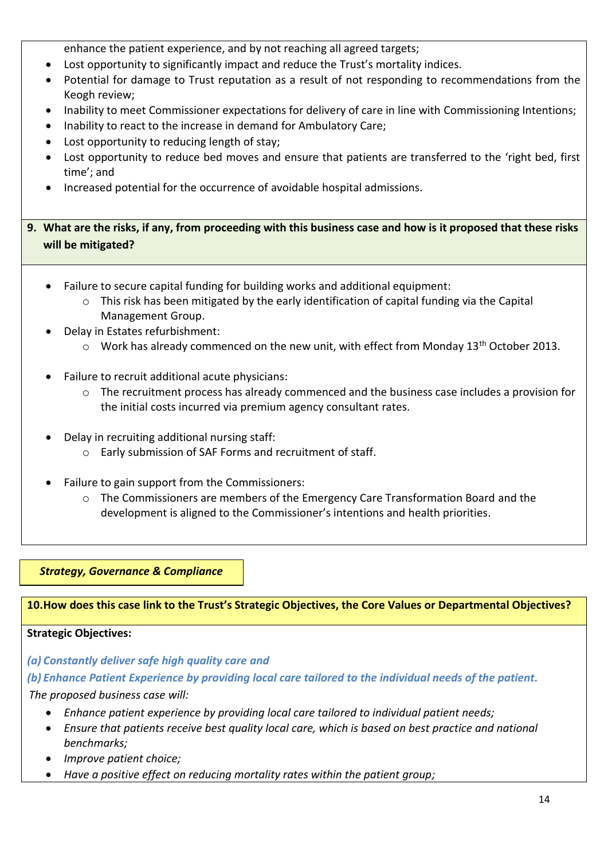enhance the patient experience, and by not reaching all agreed targets;

- Lost opportunity to significantly impact and reduce the Trust's mortality indices.
- Potential for damage to Trust reputation as a result of not responding to recommendations from the Keogh review;
- Inability to meet Commissioner expectations for delivery of care in line with Commissioning Intentions;
- Inability to react to the increase in demand for Ambulatory Care;
- Lost opportunity to reducing length of stay;
- Lost opportunity to reduce bed moves and ensure that patients are transferred to the 'right bed, first time'; and
- Increased potential for the occurrence of avoidable hospital admissions.

**9. What are the risks, if any, from proceeding with this business case and how is it proposed that these risks will be mitigated?**

- Failure to secure capital funding for building works and additional equipment:
	- $\circ$  This risk has been mitigated by the early identification of capital funding via the Capital Management Group.
- Delay in Estates refurbishment:
	- $\circ$  Work has already commenced on the new unit, with effect from Monday 13<sup>th</sup> October 2013.
- Failure to recruit additional acute physicians:
	- $\circ$  The recruitment process has already commenced and the business case includes a provision for the initial costs incurred via premium agency consultant rates.
- Delay in recruiting additional nursing staff:
	- o Early submission of SAF Forms and recruitment of staff.
- Failure to gain support from the Commissioners:
	- $\circ$  The Commissioners are members of the Emergency Care Transformation Board and the development is aligned to the Commissioner's intentions and health priorities.

*Strategy, Governance & Compliance*

**10.How does this case link to the Trust's Strategic Objectives, the Core Values or Departmental Objectives?**

### **Strategic Objectives:**

*(a) Constantly deliver safe high quality care and* 

*(b) Enhance Patient Experience by providing local care tailored to the individual needs of the patient.*

*The proposed business case will:*

- *Enhance patient experience by providing local care tailored to individual patient needs;*
- *Ensure that patients receive best quality local care, which is based on best practice and national benchmarks;*
- *Improve patient choice;*
- *Have a positive effect on reducing mortality rates within the patient group;*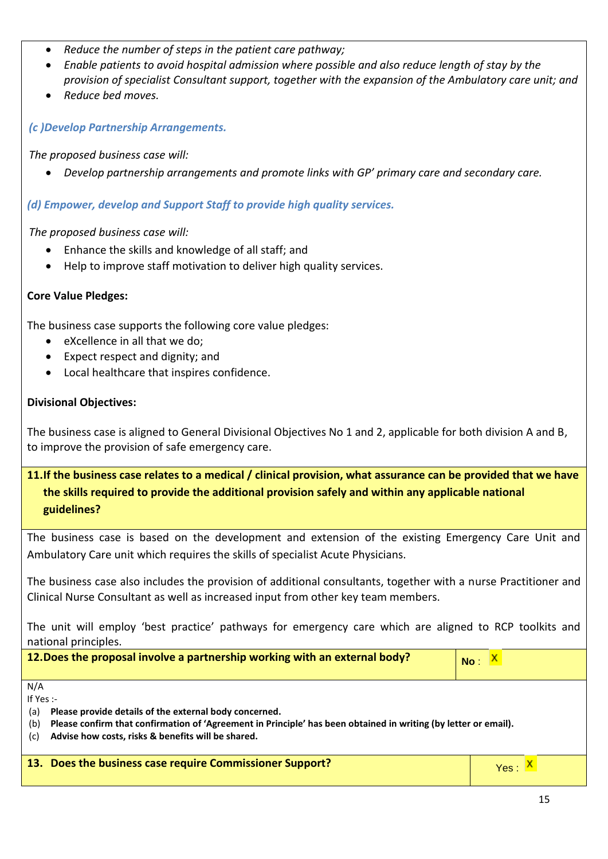- *Reduce the number of steps in the patient care pathway;*
- *Enable patients to avoid hospital admission where possible and also reduce length of stay by the provision of specialist Consultant support, together with the expansion of the Ambulatory care unit; and*
- *Reduce bed moves.*

*(c )Develop Partnership Arrangements.*

*The proposed business case will:*

*Develop partnership arrangements and promote links with GP' primary care and secondary care.*

*(d) Empower, develop and Support Staff to provide high quality services.*

*The proposed business case will:*

- Enhance the skills and knowledge of all staff; and
- Help to improve staff motivation to deliver high quality services.

## **Core Value Pledges:**

The business case supports the following core value pledges:

- eXcellence in all that we do:
- Expect respect and dignity; and
- Local healthcare that inspires confidence.

## **Divisional Objectives:**

The business case is aligned to General Divisional Objectives No 1 and 2, applicable for both division A and B, to improve the provision of safe emergency care.

# **11.If the business case relates to a medical / clinical provision, what assurance can be provided that we have the skills required to provide the additional provision safely and within any applicable national guidelines?**

The business case is based on the development and extension of the existing Emergency Care Unit and Ambulatory Care unit which requires the skills of specialist Acute Physicians.

The business case also includes the provision of additional consultants, together with a nurse Practitioner and Clinical Nurse Consultant as well as increased input from other key team members.

The unit will employ 'best practice' pathways for emergency care which are aligned to RCP toolkits and national principles.

| 12. Does the proposal involve a partnership working with an external body? | $No: \frac{X}{A}$ |  |
|----------------------------------------------------------------------------|-------------------|--|
|                                                                            |                   |  |

N/A If Yes :-

(a) **Please provide details of the external body concerned.**

- (b) **Please confirm that confirmation of 'Agreement in Principle' has been obtained in writing (by letter or email).**
- (c) **Advise how costs, risks & benefits will be shared.**

|  |  |  |  | 13. Does the business case require Commissioner Support? |  |
|--|--|--|--|----------------------------------------------------------|--|
|--|--|--|--|----------------------------------------------------------|--|

Yes X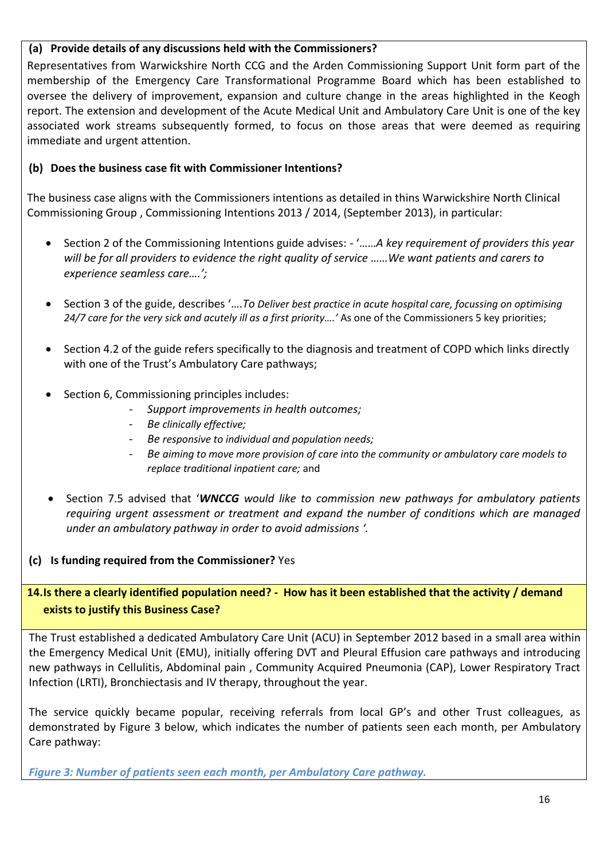## **(a) Provide details of any discussions held with the Commissioners?**

Representatives from Warwickshire North CCG and the Arden Commissioning Support Unit form part of the membership of the Emergency Care Transformational Programme Board which has been established to oversee the delivery of improvement, expansion and culture change in the areas highlighted in the Keogh report. The extension and development of the Acute Medical Unit and Ambulatory Care Unit is one of the key associated work streams subsequently formed, to focus on those areas that were deemed as requiring immediate and urgent attention.

## **(b) Does the business case fit with Commissioner Intentions?**

The business case aligns with the Commissioners intentions as detailed in thins Warwickshire North Clinical Commissioning Group , Commissioning Intentions 2013 / 2014, (September 2013), in particular:

- Section 2 of the Commissioning Intentions guide advises: '……*A key requirement of providers this year will be for all providers to evidence the right quality of service ……We want patients and carers to experience seamless care….';*
- Section 3 of the guide, describes '….*To Deliver best practice in acute hospital care, focussing on optimising 24/7 care for the very sick and acutely ill as a first priority….'* As one of the Commissioners 5 key priorities;
- Section 4.2 of the guide refers specifically to the diagnosis and treatment of COPD which links directly with one of the Trust's Ambulatory Care pathways;
- Section 6, Commissioning principles includes:
	- *Support improvements in health outcomes;*
	- *Be clinically effective;*
	- *Be responsive to individual and population needs;*
	- *Be aiming to move more provision of care into the community or ambulatory care models to replace traditional inpatient care;* and
- Section 7.5 advised that '*WNCCG would like to commission new pathways for ambulatory patients requiring urgent assessment or treatment and expand the number of conditions which are managed under an ambulatory pathway in order to avoid admissions '.*

## **(c) Is funding required from the Commissioner?** Yes

**14.Is there a clearly identified population need? - How has it been established that the activity / demand exists to justify this Business Case?**

The Trust established a dedicated Ambulatory Care Unit (ACU) in September 2012 based in a small area within the Emergency Medical Unit (EMU), initially offering DVT and Pleural Effusion care pathways and introducing new pathways in Cellulitis, Abdominal pain , Community Acquired Pneumonia (CAP), Lower Respiratory Tract Infection (LRTI), Bronchiectasis and IV therapy, throughout the year.

The service quickly became popular, receiving referrals from local GP's and other Trust colleagues, as demonstrated by Figure 3 below, which indicates the number of patients seen each month, per Ambulatory Care pathway:

*Figure 3: Number of patients seen each month, per Ambulatory Care pathway.*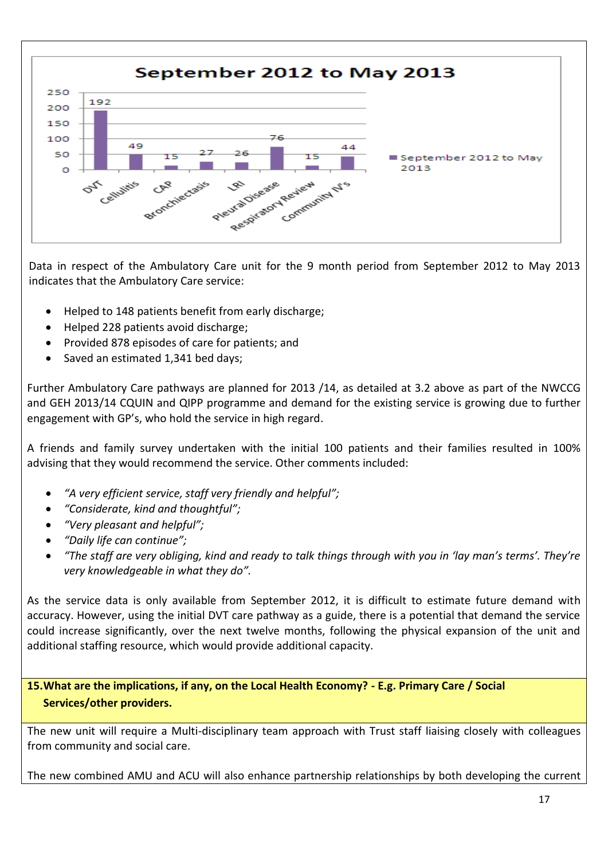

Data in respect of the Ambulatory Care unit for the 9 month period from September 2012 to May 2013 indicates that the Ambulatory Care service:

- Helped to 148 patients benefit from early discharge;
- Helped 228 patients avoid discharge;
- Provided 878 episodes of care for patients; and
- Saved an estimated 1,341 bed days;

Further Ambulatory Care pathways are planned for 2013 /14, as detailed at 3.2 above as part of the NWCCG and GEH 2013/14 CQUIN and QIPP programme and demand for the existing service is growing due to further engagement with GP's, who hold the service in high regard.

A friends and family survey undertaken with the initial 100 patients and their families resulted in 100% advising that they would recommend the service. Other comments included:

- *"A very efficient service, staff very friendly and helpful";*
- *"Considerate, kind and thoughtful";*
- *"Very pleasant and helpful";*
- *"Daily life can continue";*
- *"The staff are very obliging, kind and ready to talk things through with you in 'lay man's terms'. They're very knowledgeable in what they do".*

As the service data is only available from September 2012, it is difficult to estimate future demand with accuracy. However, using the initial DVT care pathway as a guide, there is a potential that demand the service could increase significantly, over the next twelve months, following the physical expansion of the unit and additional staffing resource, which would provide additional capacity.

**15.What are the implications, if any, on the Local Health Economy? - E.g. Primary Care / Social Services/other providers.**

The new unit will require a Multi-disciplinary team approach with Trust staff liaising closely with colleagues from community and social care.

The new combined AMU and ACU will also enhance partnership relationships by both developing the current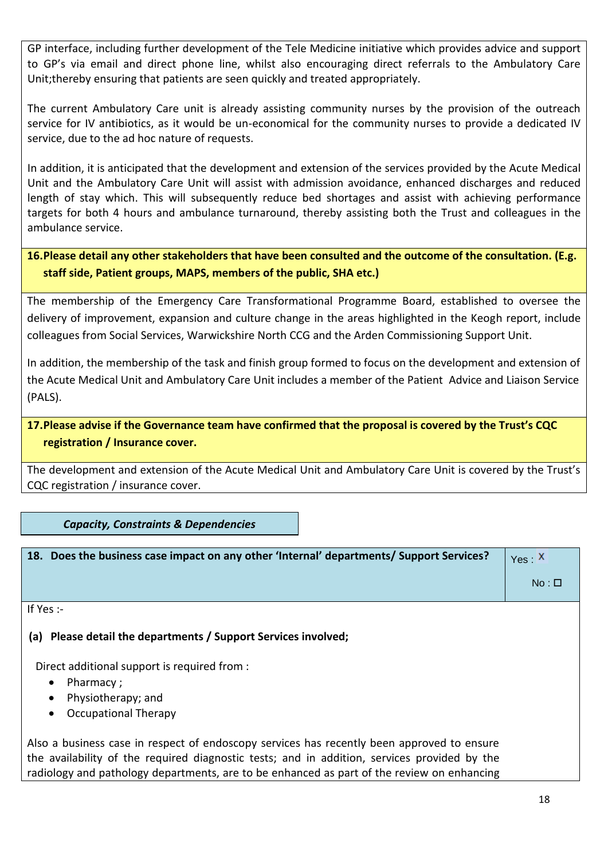GP interface, including further development of the Tele Medicine initiative which provides advice and support to GP's via email and direct phone line, whilst also encouraging direct referrals to the Ambulatory Care Unit;thereby ensuring that patients are seen quickly and treated appropriately.

The current Ambulatory Care unit is already assisting community nurses by the provision of the outreach service for IV antibiotics, as it would be un-economical for the community nurses to provide a dedicated IV service, due to the ad hoc nature of requests.

In addition, it is anticipated that the development and extension of the services provided by the Acute Medical Unit and the Ambulatory Care Unit will assist with admission avoidance, enhanced discharges and reduced length of stay which. This will subsequently reduce bed shortages and assist with achieving performance targets for both 4 hours and ambulance turnaround, thereby assisting both the Trust and colleagues in the ambulance service.

# **16.Please detail any other stakeholders that have been consulted and the outcome of the consultation. (E.g. staff side, Patient groups, MAPS, members of the public, SHA etc.)**

The membership of the Emergency Care Transformational Programme Board, established to oversee the delivery of improvement, expansion and culture change in the areas highlighted in the Keogh report, include colleagues from Social Services, Warwickshire North CCG and the Arden Commissioning Support Unit.

In addition, the membership of the task and finish group formed to focus on the development and extension of the Acute Medical Unit and Ambulatory Care Unit includes a member of the Patient Advice and Liaison Service (PALS).

# **17.Please advise if the Governance team have confirmed that the proposal is covered by the Trust's CQC registration / Insurance cover.**

The development and extension of the Acute Medical Unit and Ambulatory Care Unit is covered by the Trust's CQC registration / insurance cover.

*Capacity, Constraints & Dependencies*

| 18. Does the business case impact on any other 'Internal' departments/ Support Services?     | Yes: X     |
|----------------------------------------------------------------------------------------------|------------|
|                                                                                              | $No: \Box$ |
| If Yes $:$                                                                                   |            |
| (a) Please detail the departments / Support Services involved;                               |            |
| Direct additional support is required from :                                                 |            |
| Pharmacy;<br>$\bullet$<br>Physiotherapy; and<br>$\bullet$                                    |            |
| <b>Occupational Therapy</b>                                                                  |            |
| Also a business case in respect of endoscopy services has recently been approved to ensure   |            |
| the availability of the required diagnostic tests; and in addition, services provided by the |            |
| radiology and pathology departments, are to be enhanced as part of the review on enhancing   |            |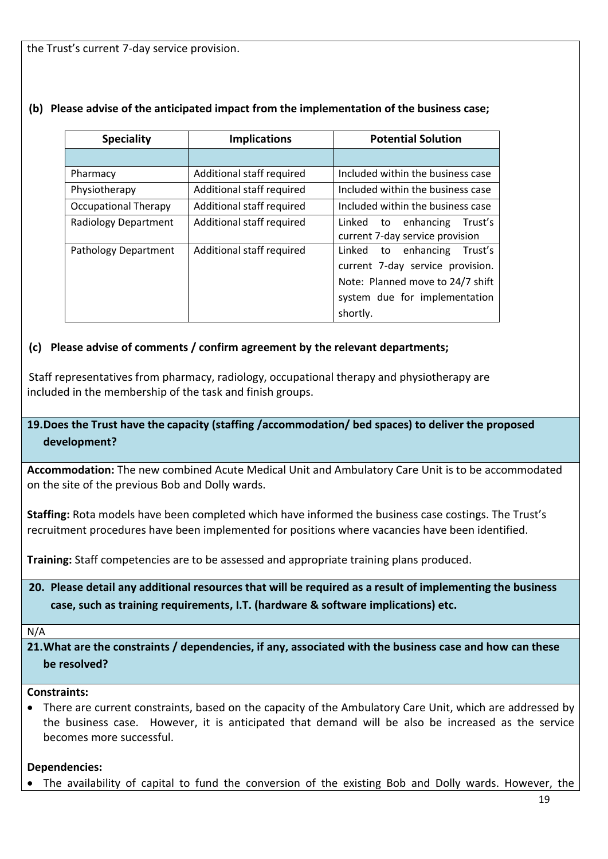the Trust's current 7-day service provision.

| <b>Speciality</b>           | <b>Implications</b>       | <b>Potential Solution</b>                                                                                                                           |
|-----------------------------|---------------------------|-----------------------------------------------------------------------------------------------------------------------------------------------------|
|                             |                           |                                                                                                                                                     |
| Pharmacy                    | Additional staff required | Included within the business case                                                                                                                   |
| Physiotherapy               | Additional staff required | Included within the business case                                                                                                                   |
| <b>Occupational Therapy</b> | Additional staff required | Included within the business case                                                                                                                   |
| Radiology Department        | Additional staff required | Linked to enhancing<br>Trust's<br>current 7-day service provision                                                                                   |
| Pathology Department        | Additional staff required | Trust's<br>Linked to enhancing<br>current 7-day service provision.<br>Note: Planned move to 24/7 shift<br>system due for implementation<br>shortly. |

## **(b) Please advise of the anticipated impact from the implementation of the business case;**

## **(c) Please advise of comments / confirm agreement by the relevant departments;**

Staff representatives from pharmacy, radiology, occupational therapy and physiotherapy are included in the membership of the task and finish groups.

# **19.Does the Trust have the capacity (staffing /accommodation/ bed spaces) to deliver the proposed development?**

**Accommodation:** The new combined Acute Medical Unit and Ambulatory Care Unit is to be accommodated on the site of the previous Bob and Dolly wards.

**Staffing:** Rota models have been completed which have informed the business case costings. The Trust's recruitment procedures have been implemented for positions where vacancies have been identified.

**Training:** Staff competencies are to be assessed and appropriate training plans produced.

**20. Please detail any additional resources that will be required as a result of implementing the business case, such as training requirements, I.T. (hardware & software implications) etc.**

#### N/A

**21.What are the constraints / dependencies, if any, associated with the business case and how can these be resolved?**

### **Constraints:**

 There are current constraints, based on the capacity of the Ambulatory Care Unit, which are addressed by the business case. However, it is anticipated that demand will be also be increased as the service becomes more successful.

### **Dependencies:**

The availability of capital to fund the conversion of the existing Bob and Dolly wards. However, the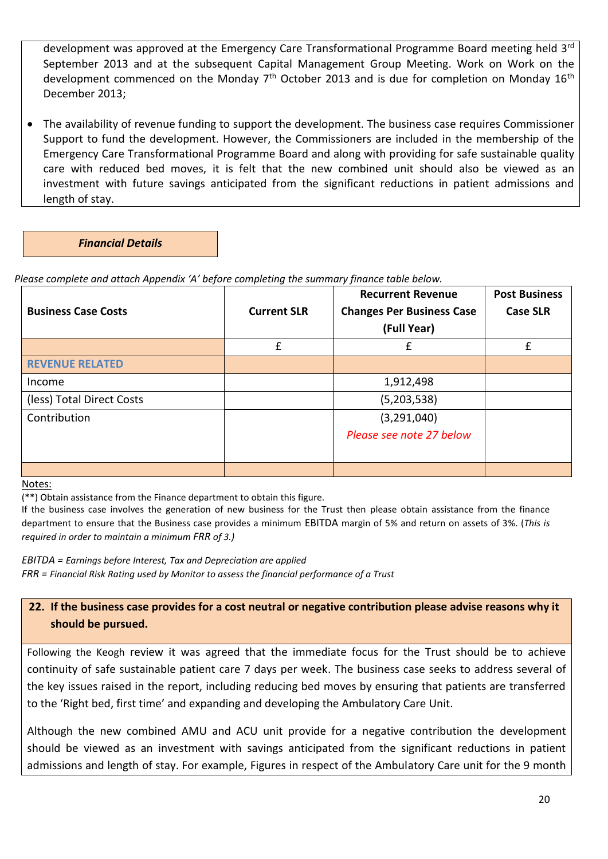development was approved at the Emergency Care Transformational Programme Board meeting held 3<sup>rd</sup> September 2013 and at the subsequent Capital Management Group Meeting. Work on Work on the development commenced on the Monday  $7<sup>th</sup>$  October 2013 and is due for completion on Monday 16<sup>th</sup> December 2013;

 The availability of revenue funding to support the development. The business case requires Commissioner Support to fund the development. However, the Commissioners are included in the membership of the Emergency Care Transformational Programme Board and along with providing for safe sustainable quality care with reduced bed moves, it is felt that the new combined unit should also be viewed as an investment with future savings anticipated from the significant reductions in patient admissions and length of stay.

*Financial Details*

*Please complete and attach Appendix 'A' before completing the summary finance table below.*

|                            |                    | <b>Recurrent Revenue</b>         | <b>Post Business</b> |
|----------------------------|--------------------|----------------------------------|----------------------|
| <b>Business Case Costs</b> | <b>Current SLR</b> | <b>Changes Per Business Case</b> | <b>Case SLR</b>      |
|                            |                    | (Full Year)                      |                      |
|                            | £                  | f                                | f                    |
| <b>REVENUE RELATED</b>     |                    |                                  |                      |
| Income                     |                    | 1,912,498                        |                      |
| (less) Total Direct Costs  |                    | (5,203,538)                      |                      |
| Contribution               |                    | (3, 291, 040)                    |                      |
|                            |                    | Please see note 27 below         |                      |
|                            |                    |                                  |                      |
|                            |                    |                                  |                      |

Notes:

(\*\*) Obtain assistance from the Finance department to obtain this figure.

If the business case involves the generation of new business for the Trust then please obtain assistance from the finance department to ensure that the Business case provides a minimum EBITDA margin of 5% and return on assets of 3%. (*This is required in order to maintain a minimum FRR of 3.)*

*EBITDA = Earnings before Interest, Tax and Depreciation are applied FRR = Financial Risk Rating used by Monitor to assess the financial performance of a Trust*

# **22. If the business case provides for a cost neutral or negative contribution please advise reasons why it should be pursued.**

Following the Keogh review it was agreed that the immediate focus for the Trust should be to achieve continuity of safe sustainable patient care 7 days per week. The business case seeks to address several of the key issues raised in the report, including reducing bed moves by ensuring that patients are transferred to the 'Right bed, first time' and expanding and developing the Ambulatory Care Unit.

Although the new combined AMU and ACU unit provide for a negative contribution the development should be viewed as an investment with savings anticipated from the significant reductions in patient admissions and length of stay. For example, Figures in respect of the Ambulatory Care unit for the 9 month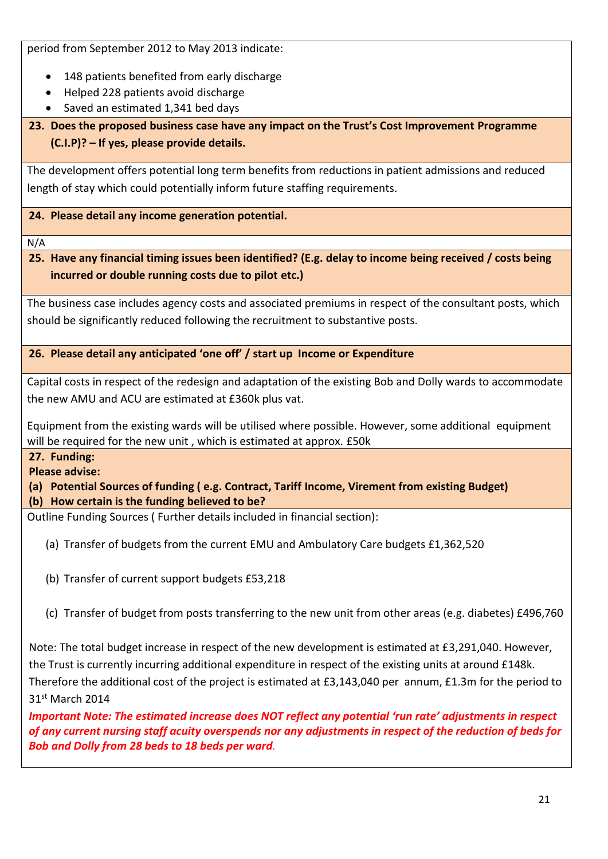period from September 2012 to May 2013 indicate:

- 148 patients benefited from early discharge
- Helped 228 patients avoid discharge
- Saved an estimated 1,341 bed days

**23. Does the proposed business case have any impact on the Trust's Cost Improvement Programme (C.I.P)? – If yes, please provide details.**

The development offers potential long term benefits from reductions in patient admissions and reduced length of stay which could potentially inform future staffing requirements.

**24. Please detail any income generation potential.**

N/A

**25. Have any financial timing issues been identified? (E.g. delay to income being received / costs being incurred or double running costs due to pilot etc.)**

The business case includes agency costs and associated premiums in respect of the consultant posts, which should be significantly reduced following the recruitment to substantive posts.

**26. Please detail any anticipated 'one off' / start up Income or Expenditure** 

Capital costs in respect of the redesign and adaptation of the existing Bob and Dolly wards to accommodate the new AMU and ACU are estimated at £360k plus vat.

Equipment from the existing wards will be utilised where possible. However, some additional equipment will be required for the new unit , which is estimated at approx. £50k

## **27. Funding:**

**Please advise:**

**(a) Potential Sources of funding ( e.g. Contract, Tariff Income, Virement from existing Budget) (b) How certain is the funding believed to be?**

Outline Funding Sources ( Further details included in financial section):

(a) Transfer of budgets from the current EMU and Ambulatory Care budgets £1,362,520

- (b) Transfer of current support budgets £53,218
- (c) Transfer of budget from posts transferring to the new unit from other areas (e.g. diabetes) £496,760

Note: The total budget increase in respect of the new development is estimated at £3,291,040. However, the Trust is currently incurring additional expenditure in respect of the existing units at around £148k. Therefore the additional cost of the project is estimated at £3,143,040 per annum, £1.3m for the period to 31st March 2014

*Important Note: The estimated increase does NOT reflect any potential 'run rate' adjustments in respect of any current nursing staff acuity overspends nor any adjustments in respect of the reduction of beds for Bob and Dolly from 28 beds to 18 beds per ward.*